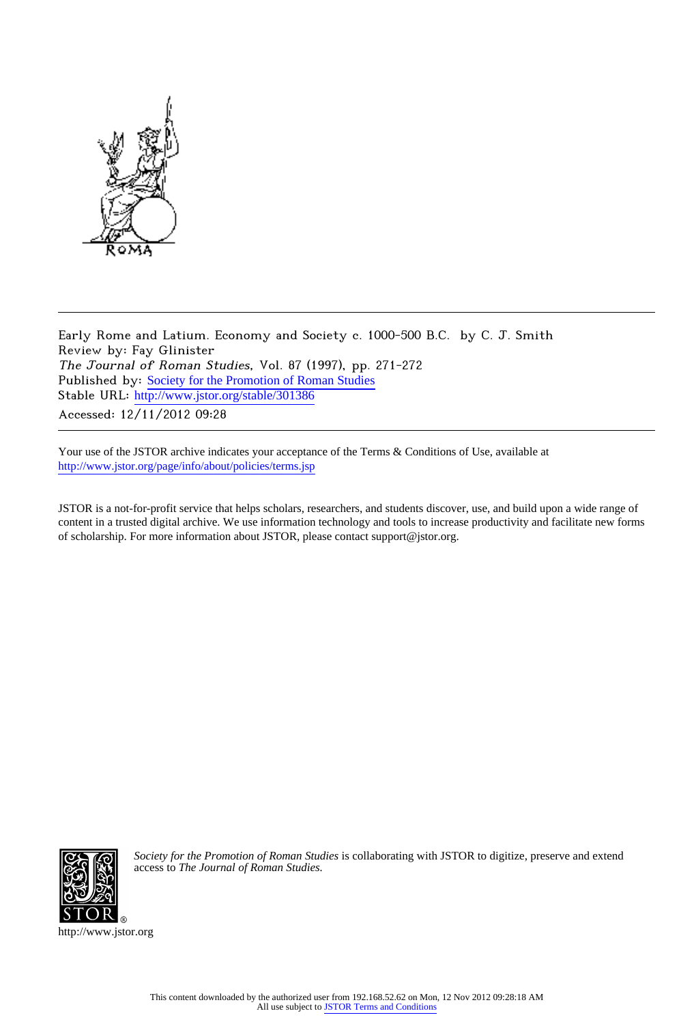

Early Rome and Latium. Economy and Society c. 1000-500 B.C. by C. J. Smith Review by: Fay Glinister The Journal of Roman Studies, Vol. 87 (1997), pp. 271-272 Published by: [Society for the Promotion of Roman Studies](http://www.jstor.org/action/showPublisher?publisherCode=sprs) Stable URL: http://www.jstor.org/stable/301386 Accessed: 12/11/2012 09:28

Your use of the JSTOR archive indicates your acceptance of the Terms & Conditions of Use, available at <http://www.jstor.org/page/info/about/policies/terms.jsp>

JSTOR is a not-for-profit service that helps scholars, researchers, and students discover, use, and build upon a wide range of content in a trusted digital archive. We use information technology and tools to increase productivity and facilitate new forms of scholarship. For more information about JSTOR, please contact support@jstor.org.



*Society for the Promotion of Roman Studies* is collaborating with JSTOR to digitize, preserve and extend access to *The Journal of Roman Studies.*

http://www.jstor.org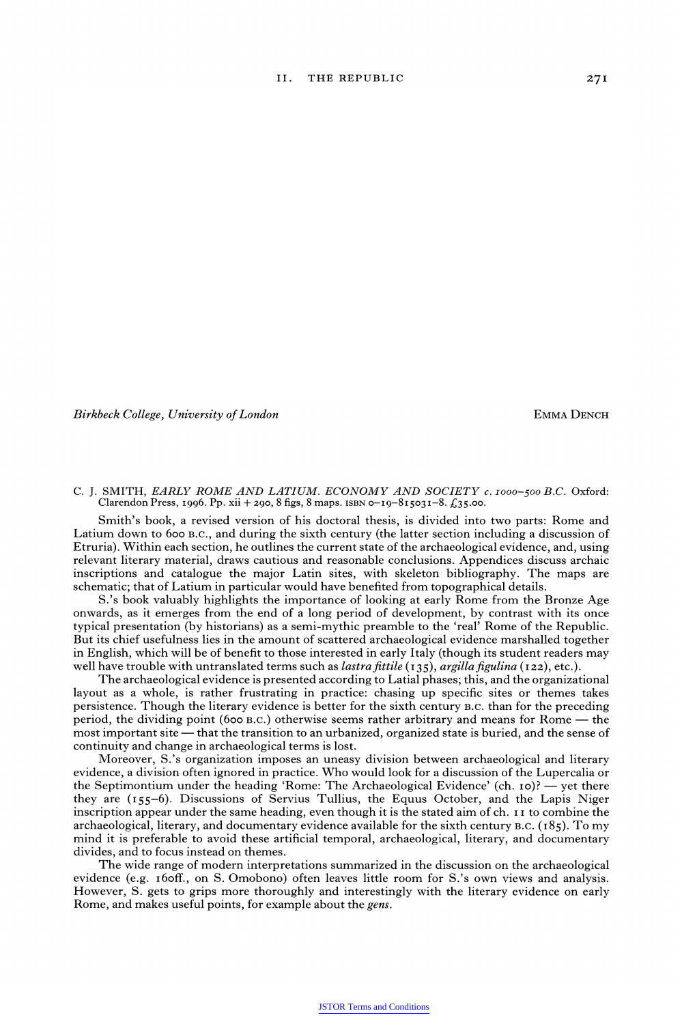**Birkbeck College, University of London** *EMMA DENCH* 

**C. J. SMITH, EARLY ROME AND LATIUM. ECONOMY AND SOCIETY c. I000-500 B.C. Oxford: Clarendon Press, I996. Pp. xii + 290, 8 figs, 8 maps. ISBN 0-I9-8I503I-8. ?35\*00-** 

**Smith's book, a revised version of his doctoral thesis, is divided into two parts: Rome and Latium down to 600 B.C., and during the sixth century (the latter section including a discussion of Etruria). Within each section, he outlines the current state of the archaeological evidence, and, using relevant literary material, draws cautious and reasonable conclusions. Appendices discuss archaic inscriptions and catalogue the major Latin sites, with skeleton bibliography. The maps are schematic; that of Latium in particular would have benefited from topographical details.** 

**S.'s book valuably highlights the importance of looking at early Rome from the Bronze Age onwards, as it emerges from the end of a long period of development, by contrast with its once typical presentation (by historians) as a semi-mythic preamble to the 'real' Rome of the Republic. But its chief usefulness lies in the amount of scattered archaeological evidence marshalled together in English, which will be of benefit to those interested in early Italy (though its student readers may well have trouble with untranslated terms such as** *lastra fittile* **(135),** *argilla figulina* **(122), etc.).** 

**The archaeological evidence is presented according to Latial phases; this, and the organizational layout as a whole, is rather frustrating in practice: chasing up specific sites or themes takes persistence. Though the literary evidence is better for the sixth century B.C. than for the preceding period, the dividing point (600 B.C.) otherwise seems rather arbitrary and means for Rome - the most important site - that the transition to an urbanized, organized state is buried, and the sense of continuity and change in archaeological terms is lost.** 

**Moreover, S.'s organization imposes an uneasy division between archaeological and literary evidence, a division often ignored in practice. Who would look for a discussion of the Lupercalia or the Septimontium under the heading 'Rome: The Archaeological Evidence' (ch. Io)? - yet there they are (I55-6). Discussions of Servius Tullius, the Equus October, and the Lapis Niger inscription appear under the same heading, even though it is the stated aim of ch. I I to combine the archaeological, literary, and documentary evidence available for the sixth century B.C. (I85). To my mind it is preferable to avoid these artificial temporal, archaeological, literary, and documentary divides, and to focus instead on themes.** 

**The wide range of modern interpretations summarized in the discussion on the archaeological evidence (e.g. i6off., on S. Omobono) often leaves little room for S.'s own views and analysis. However, S. gets to grips more thoroughly and interestingly with the literary evidence on early Rome, and makes useful points, for example about the gens.**